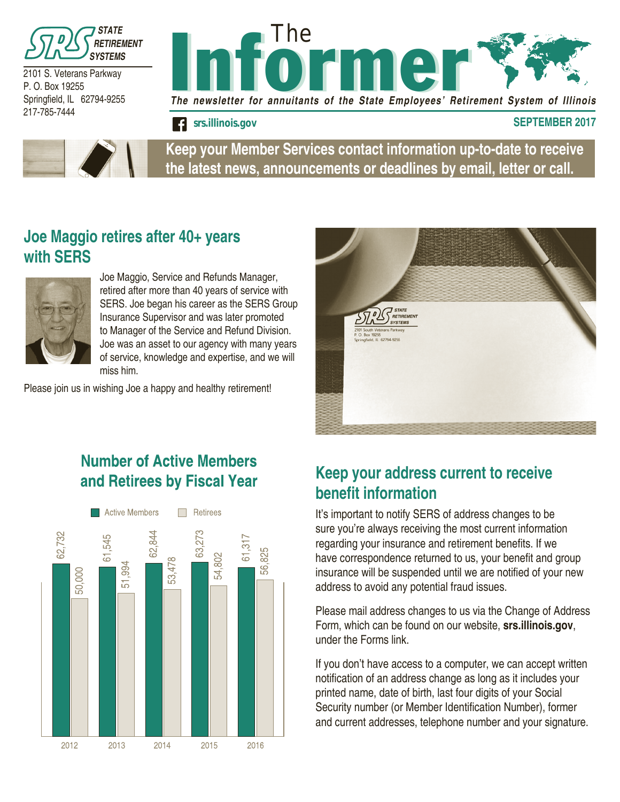

2101 S. Veterans Parkway P. O. Box 19255 Springfield, IL 62794-9255 217-785-7444





**Keep your Member Services contact information up-to-date to receive the latest news, announcements or deadlines by email, letter or call.**

### **Joe Maggio retires after 40+ years with SERS**



Joe Maggio, Service and Refunds Manager, retired after more than 40 years of service with SERS. Joe began his career as the SERS Group Insurance Supervisor and was later promoted to Manager of the Service and Refund Division. Joe was an asset to our agency with many years of service, knowledge and expertise, and we will miss him.

Please join us in wishing Joe a happy and healthy retirement!



## **Number of Active Members** and Retirees by Fiscal Year



## **Keep your address current to receive benefit information**

It's important to notify SERS of address changes to be sure you're always receiving the most current information regarding your insurance and retirement benefits. If we have correspondence returned to us, your benefit and group insurance will be suspended until we are notified of your new address to avoid any potential fraud issues.

Please mail address changes to us via the Change of Address Form, which can be found on our website, **srs.illinois.gov**, under the Forms link.

If you don't have access to a computer, we can accept written notification of an address change as long as it includes your printed name, date of birth, last four digits of your Social Security number (or Member Identification Number), former and current addresses, telephone number and your signature.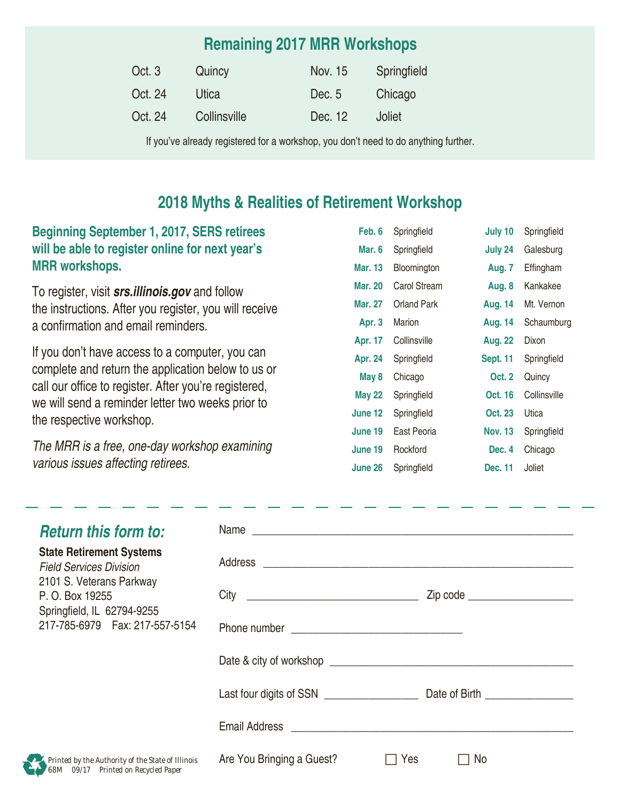# **Remaining 2017 MRR Workshops**

| Oct. 3  | Quincy       | Nov. 15 | Springfield |
|---------|--------------|---------|-------------|
| Oct. 24 | Utica        | Dec. 5  | Chicago     |
| Oct. 24 | Collinsville | Dec. 12 | Joliet      |

If you've already registered for a workshop, you don't need to do anything further.

### **2018 Myths & Realities of Retirement Workshop**

#### **Beginning September 1, 2017, SERS retirees will be able to register online for next year's MRR workshops.**

To register, visit *srs.illinois.gov* and follow the instructions. After you register, you will receive a confirmation and email reminders.

If you don't have access to a computer, you can complete and return the application below to us or call our office to register. After you're registered, we will send a reminder letter two weeks prior to the respective workshop.

*The MRR is a free, one-day workshop examining various issues affecting retirees.*

| Feb. 6         | Springfield  | July 10         | Springfield  |
|----------------|--------------|-----------------|--------------|
| Mar. 6         | Springfield  | July 24         | Galesburg    |
| <b>Mar. 13</b> | Bloomington  | Aug. 7          | Effingham    |
| Mar. 20        | Carol Stream | Aug. 8          | Kankakee     |
| Mar. 27        | Orland Park  | <b>Aug. 14</b>  | Mt. Vernon   |
| Apr. 3         | Marion       | <b>Aug. 14</b>  | Schaumburg   |
| Apr. 17        | Collinsville | <b>Aug. 22</b>  | Dixon        |
| <b>Apr. 24</b> | Springfield  | <b>Sept. 11</b> | Springfield  |
| May 8          | Chicago      | <b>Oct. 2</b>   | Quincy       |
| <b>May 22</b>  | Springfield  | Oct. 16         | Collinsville |
| June 12        | Springfield  | <b>Oct. 23</b>  | Utica        |
| June 19        | East Peoria  | <b>Nov. 13</b>  | Springfield  |
| June 19        | Rockford     | Dec. 4          | Chicago      |
| June 26        | Springfield  | Dec. 11         | Joliet       |

| <b>Return this form to:</b>                                                              | Name                      |                                |  |  |
|------------------------------------------------------------------------------------------|---------------------------|--------------------------------|--|--|
| <b>State Retirement Systems</b><br><b>Field Services Division</b>                        |                           |                                |  |  |
| 2101 S. Veterans Parkway<br>P. O. Box 19255<br>Springfield, IL 62794-9255                | City                      | Zip code _____________________ |  |  |
| 217-785-6979    Fax: 217-557-5154                                                        |                           |                                |  |  |
|                                                                                          |                           |                                |  |  |
|                                                                                          |                           |                                |  |  |
|                                                                                          |                           |                                |  |  |
| Printed by the Authority of the State of Illinois<br>68M 09/17 Printed on Recycled Paper | Are You Bringing a Guest? | No<br>Yes                      |  |  |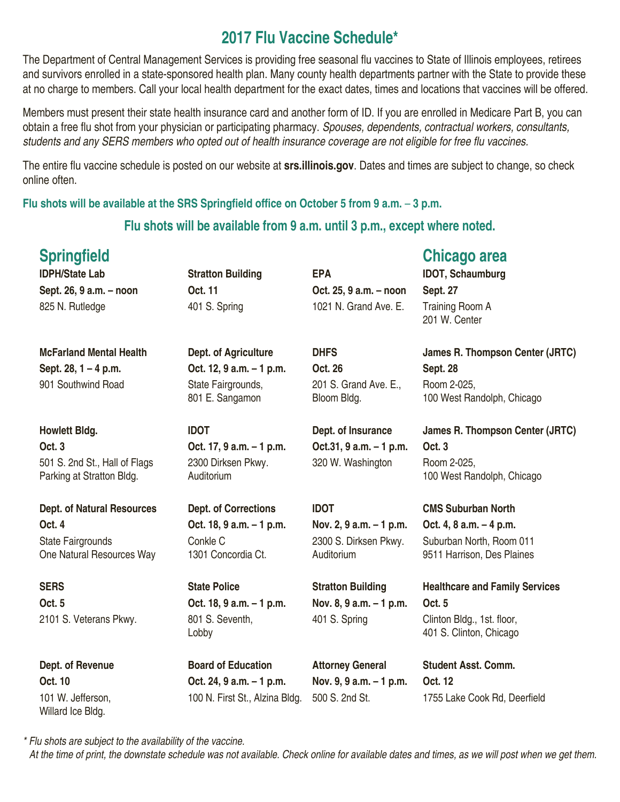## **2017 Flu Vaccine Schedule\***

The Department of Central Management Services is providing free seasonal flu vaccines to State of Illinois employees, retirees and survivors enrolled in a state-sponsored health plan. Many county health departments partner with the State to provide these at no charge to members. Call your local health department for the exact dates, times and locations that vaccines will be offered.

Members must present their state health insurance card and another form of ID. If you are enrolled in Medicare Part B, you can obtain a free flu shot from your physician or participating pharmacy. *Spouses, dependents, contractual workers, consultants,*  students and any SERS members who opted out of health insurance coverage are not eligible for free flu vaccines.

The entire flu vaccine schedule is posted on our website at **srs.illinois.gov**. Dates and times are subject to change, so check online often.

**Flu shots will be available at the SRS Springfield office on October 5 from 9 a.m.** – **3 p.m.** 

#### **Flu shots will be available from 9 a.m. until 3 p.m., except where noted.**

| <b>Springfield</b>                                         |                                       |                                      | <b>Chicago area</b>                                    |
|------------------------------------------------------------|---------------------------------------|--------------------------------------|--------------------------------------------------------|
| <b>IDPH/State Lab</b>                                      | <b>Stratton Building</b>              | <b>EPA</b>                           | <b>IDOT, Schaumburg</b>                                |
| Sept. 26, 9 a.m. - noon                                    | Oct. 11                               | Oct. 25, 9 a.m. - noon               | <b>Sept. 27</b>                                        |
| 825 N. Rutledge                                            | 401 S. Spring                         | 1021 N. Grand Ave. E.                | Training Room A<br>201 W. Center                       |
| <b>McFarland Mental Health</b>                             | Dept. of Agriculture                  | <b>DHFS</b>                          | James R. Thompson Center (JRTC)                        |
| Sept. 28, 1 - 4 p.m.                                       | Oct. 12, 9 a.m. - 1 p.m.              | Oct. 26                              | <b>Sept. 28</b>                                        |
| 901 Southwind Road                                         | State Fairgrounds,<br>801 E. Sangamon | 201 S. Grand Ave. E.,<br>Bloom Bldg. | Room 2-025,<br>100 West Randolph, Chicago              |
| <b>Howlett Bldg.</b>                                       | <b>IDOT</b>                           | Dept. of Insurance                   | <b>James R. Thompson Center (JRTC)</b>                 |
| Oct. 3                                                     | Oct. 17, 9 a.m. - 1 p.m.              | Oct.31, 9 a.m. - 1 p.m.              | <b>Oct. 3</b>                                          |
| 501 S. 2nd St., Hall of Flags<br>Parking at Stratton Bldg. | 2300 Dirksen Pkwy.<br>Auditorium      | 320 W. Washington                    | Room 2-025,<br>100 West Randolph, Chicago              |
| <b>Dept. of Natural Resources</b>                          | <b>Dept. of Corrections</b>           | <b>IDOT</b>                          | <b>CMS Suburban North</b>                              |
| <b>Oct. 4</b>                                              | Oct. 18, 9 a.m. - 1 p.m.              | Nov. 2, 9 a.m. – 1 p.m.              | Oct. 4, 8 a.m. $-4$ p.m.                               |
| <b>State Fairgrounds</b><br>One Natural Resources Way      | Conkle C<br>1301 Concordia Ct.        | 2300 S. Dirksen Pkwy.<br>Auditorium  | Suburban North, Room 011<br>9511 Harrison, Des Plaines |
| <b>SERS</b>                                                | <b>State Police</b>                   | <b>Stratton Building</b>             | <b>Healthcare and Family Services</b>                  |
| Oct. 5                                                     | Oct. 18, 9 a.m. - 1 p.m.              | Nov. 8, 9 a.m. - 1 p.m.              | <b>Oct. 5</b>                                          |
| 2101 S. Veterans Pkwy.                                     | 801 S. Seventh,<br>Lobby              | 401 S. Spring                        | Clinton Bldg., 1st. floor,<br>401 S. Clinton, Chicago  |
| Dept. of Revenue                                           | <b>Board of Education</b>             | <b>Attorney General</b>              | <b>Student Asst. Comm.</b>                             |
| Oct. 10                                                    | Oct. 24, 9 a.m. - 1 p.m.              | Nov. 9, 9 a.m. - 1 p.m.              | Oct. 12                                                |

101 W. Jefferson, Willard Ice Bldg.

100 N. First St., Alzina Bldg. 500 S. 2nd St. 1755 Lake Cook Rd, Deerfield

*\* Flu shots are subject to the availability of the vaccine. At the time of print, the downstate schedule was not available. Check online for available dates and times, as we will post when we get them.*